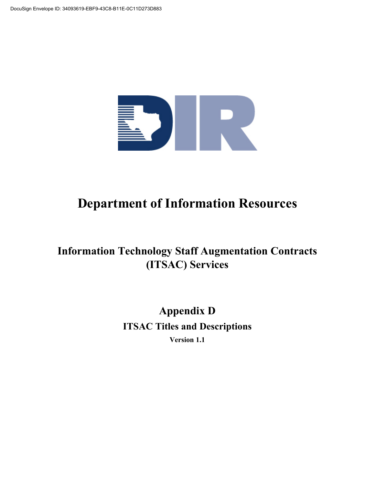

# **Department of Information Resources**

# **Information Technology Staff Augmentation Contracts (ITSAC) Services**

**Appendix D ITSAC Titles and Descriptions Version 1.1**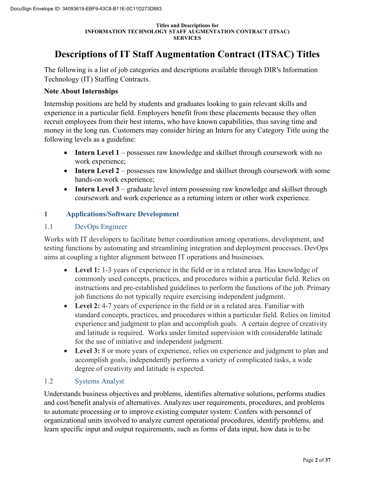# **Descriptions of IT Staff Augmentation Contract (ITSAC) Titles**

The following is a list of job categories and descriptions available through DIR's Information Technology (IT) Staffing Contracts.

### **Note About Internships**

Internship positions are held by students and graduates looking to gain relevant skills and experience in a particular field. Employers benefit from these placements because they often recruit employees from their best interns, who have known capabilities, thus saving time and money in the long run. Customers may consider hiring an Intern for any Category Title using the following levels as a guideline:

- **Intern Level 1** possesses raw knowledge and skillset through coursework with no work experience;
- **Intern Level 2** possesses raw knowledge and skillset through coursework with some hands-on work experience;
- **Intern Level 3** graduate level intern possessing raw knowledge and skillset through coursework and work experience as a returning intern or other work experience.

### **1 Applications/Software Development**

### 1.1 DevOps Engineer

Works with IT developers to facilitate better coordination among operations, development, and testing functions by automating and streamlining integration and deployment processes. DevOps aims at coupling a tighter alignment between IT operations and businesses.

- **Level 1:** 1-3 years of experience in the field or in a related area. Has knowledge of commonly used concepts, practices, and procedures within a particular field. Relies on instructions and pre-established guidelines to perform the functions of the job. Primary job functions do not typically require exercising independent judgment.
- **Level 2:** 4-7 years of experience in the field or in a related area. Familiar with standard concepts, practices, and procedures within a particular field. Relies on limited experience and judgment to plan and accomplish goals. A certain degree of creativity and latitude is required. Works under limited supervision with considerable latitude for the use of initiative and independent judgment.
- **Level 3:** 8 or more years of experience, relies on experience and judgment to plan and accomplish goals, independently performs a variety of complicated tasks, a wide degree of creativity and latitude is expected.

### 1.2 Systems Analyst

Understands business objectives and problems, identifies alternative solutions, performs studies and cost/benefit analysis of alternatives. Analyzes user requirements, procedures, and problems to automate processing or to improve existing computer system: Confers with personnel of organizational units involved to analyze current operational procedures, identify problems, and learn specific input and output requirements, such as forms of data input, how data is to be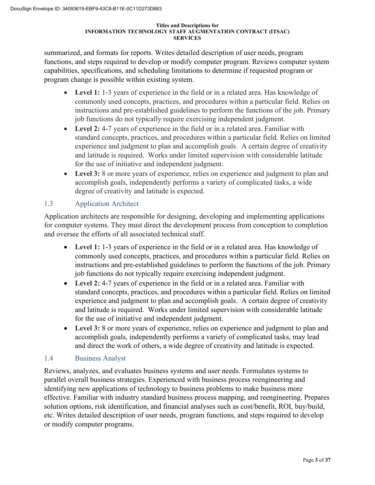summarized, and formats for reports. Writes detailed description of user needs, program functions, and steps required to develop or modify computer program. Reviews computer system capabilities, specifications, and scheduling limitations to determine if requested program or program change is possible within existing system.

- **Level 1:** 1-3 years of experience in the field or in a related area. Has knowledge of commonly used concepts, practices, and procedures within a particular field. Relies on instructions and pre-established guidelines to perform the functions of the job. Primary job functions do not typically require exercising independent judgment.
- **Level 2:** 4-7 years of experience in the field or in a related area. Familiar with standard concepts, practices, and procedures within a particular field. Relies on limited experience and judgment to plan and accomplish goals. A certain degree of creativity and latitude is required. Works under limited supervision with considerable latitude for the use of initiative and independent judgment.
- **Level 3:** 8 or more years of experience, relies on experience and judgment to plan and accomplish goals, independently performs a variety of complicated tasks, a wide degree of creativity and latitude is expected.

# 1.3 Application Architect

Application architects are responsible for designing, developing and implementing applications for computer systems. They must direct the development process from conception to completion and oversee the efforts of all associated technical staff.

- **Level 1:** 1-3 years of experience in the field or in a related area. Has knowledge of commonly used concepts, practices, and procedures within a particular field. Relies on instructions and pre-established guidelines to perform the functions of the job. Primary job functions do not typically require exercising independent judgment.
- **Level 2:** 4-7 years of experience in the field or in a related area. Familiar with standard concepts, practices, and procedures within a particular field. Relies on limited experience and judgment to plan and accomplish goals. A certain degree of creativity and latitude is required. Works under limited supervision with considerable latitude for the use of initiative and independent judgment.
- **Level 3:** 8 or more years of experience, relies on experience and judgment to plan and accomplish goals, independently performs a variety of complicated tasks, may lead and direct the work of others, a wide degree of creativity and latitude is expected.

# 1.4 Business Analyst

Reviews, analyzes, and evaluates business systems and user needs. Formulates systems to parallel overall business strategies. Experienced with business process reengineering and identifying new applications of technology to business problems to make business more effective. Familiar with industry standard business process mapping, and reengineering. Prepares solution options, risk identification, and financial analyses such as cost/benefit, ROI, buy/build, etc. Writes detailed description of user needs, program functions, and steps required to develop or modify computer programs.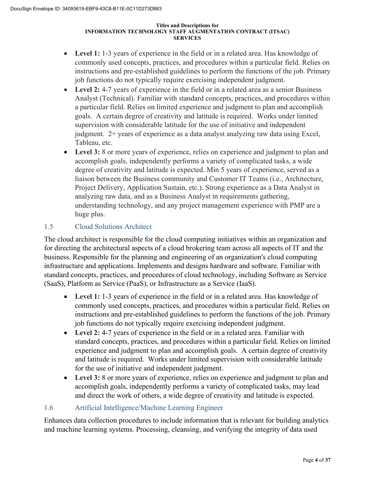- Level 1: 1-3 years of experience in the field or in a related area. Has knowledge of commonly used concepts, practices, and procedures within a particular field. Relies on instructions and pre-established guidelines to perform the functions of the job. Primary job functions do not typically require exercising independent judgment.
- **Level 2:** 4-7 years of experience in the field or in a related area as a senior Business Analyst (Technical). Familiar with standard concepts, practices, and procedures within a particular field. Relies on limited experience and judgment to plan and accomplish goals. A certain degree of creativity and latitude is required. Works under limited supervision with considerable latitude for the use of initiative and independent judgment. 2+ years of experience as a data analyst analyzing raw data using Excel, Tableau, etc.
- **Level 3:** 8 or more years of experience, relies on experience and judgment to plan and accomplish goals, independently performs a variety of complicated tasks, a wide degree of creativity and latitude is expected. Min 5 years of experience, served as a liaison between the Business community and Customer IT Teams (i.e., Architecture, Project Delivery, Application Sustain, etc.). Strong experience as a Data Analyst in analyzing raw data, and as a Business Analyst in requirements gathering, understanding technology, and any project management experience with PMP are a huge plus.

# 1.5 Cloud Solutions Architect

The cloud architect is responsible for the cloud computing initiatives within an organization and for directing the architectural aspects of a cloud brokering team across all aspects of IT and the business. Responsible for the planning and engineering of an organization's cloud computing infrastructure and applications. Implements and designs hardware and software. Familiar with standard concepts, practices, and procedures of cloud technology, including Software as Service (SaaS), Platform as Service (PaaS), or Infrastructure as a Service (IaaS).

- Level 1: 1-3 years of experience in the field or in a related area. Has knowledge of commonly used concepts, practices, and procedures within a particular field. Relies on instructions and pre-established guidelines to perform the functions of the job. Primary job functions do not typically require exercising independent judgment.
- **Level 2:** 4-7 years of experience in the field or in a related area. Familiar with standard concepts, practices, and procedures within a particular field. Relies on limited experience and judgment to plan and accomplish goals. A certain degree of creativity and latitude is required. Works under limited supervision with considerable latitude for the use of initiative and independent judgment.
- **Level 3:** 8 or more years of experience, relies on experience and judgment to plan and accomplish goals, independently performs a variety of complicated tasks, may lead and direct the work of others, a wide degree of creativity and latitude is expected.

### 1.6 Artificial Intelligence/Machine Learning Engineer

Enhances data collection procedures to include information that is relevant for building analytics and machine learning systems. Processing, cleansing, and verifying the integrity of data used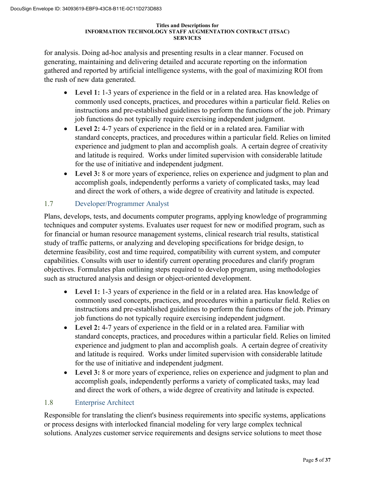for analysis. Doing ad-hoc analysis and presenting results in a clear manner. Focused on generating, maintaining and delivering detailed and accurate reporting on the information gathered and reported by artificial intelligence systems, with the goal of maximizing ROI from the rush of new data generated.

- Level 1: 1-3 years of experience in the field or in a related area. Has knowledge of commonly used concepts, practices, and procedures within a particular field. Relies on instructions and pre-established guidelines to perform the functions of the job. Primary job functions do not typically require exercising independent judgment.
- **Level 2:** 4-7 years of experience in the field or in a related area. Familiar with standard concepts, practices, and procedures within a particular field. Relies on limited experience and judgment to plan and accomplish goals. A certain degree of creativity and latitude is required. Works under limited supervision with considerable latitude for the use of initiative and independent judgment.
- **Level 3:** 8 or more years of experience, relies on experience and judgment to plan and accomplish goals, independently performs a variety of complicated tasks, may lead and direct the work of others, a wide degree of creativity and latitude is expected.

# 1.7 Developer/Programmer Analyst

Plans, develops, tests, and documents computer programs, applying knowledge of programming techniques and computer systems. Evaluates user request for new or modified program, such as for financial or human resource management systems, clinical research trial results, statistical study of traffic patterns, or analyzing and developing specifications for bridge design, to determine feasibility, cost and time required, compatibility with current system, and computer capabilities. Consults with user to identify current operating procedures and clarify program objectives. Formulates plan outlining steps required to develop program, using methodologies such as structured analysis and design or object-oriented development.

- Level 1: 1-3 years of experience in the field or in a related area. Has knowledge of commonly used concepts, practices, and procedures within a particular field. Relies on instructions and pre-established guidelines to perform the functions of the job. Primary job functions do not typically require exercising independent judgment.
- **Level 2:** 4-7 years of experience in the field or in a related area. Familiar with standard concepts, practices, and procedures within a particular field. Relies on limited experience and judgment to plan and accomplish goals. A certain degree of creativity and latitude is required. Works under limited supervision with considerable latitude for the use of initiative and independent judgment.
- **Level 3:** 8 or more years of experience, relies on experience and judgment to plan and accomplish goals, independently performs a variety of complicated tasks, may lead and direct the work of others, a wide degree of creativity and latitude is expected.

# 1.8 Enterprise Architect

Responsible for translating the client's business requirements into specific systems, applications or process designs with interlocked financial modeling for very large complex technical solutions. Analyzes customer service requirements and designs service solutions to meet those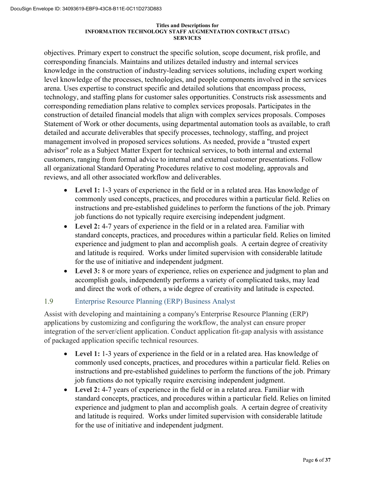objectives. Primary expert to construct the specific solution, scope document, risk profile, and corresponding financials. Maintains and utilizes detailed industry and internal services knowledge in the construction of industry-leading services solutions, including expert working level knowledge of the processes, technologies, and people components involved in the services arena. Uses expertise to construct specific and detailed solutions that encompass process, technology, and staffing plans for customer sales opportunities. Constructs risk assessments and corresponding remediation plans relative to complex services proposals. Participates in the construction of detailed financial models that align with complex services proposals. Composes Statement of Work or other documents, using departmental automation tools as available, to craft detailed and accurate deliverables that specify processes, technology, staffing, and project management involved in proposed services solutions. As needed, provide a "trusted expert advisor" role as a Subject Matter Expert for technical services, to both internal and external customers, ranging from formal advice to internal and external customer presentations. Follow all organizational Standard Operating Procedures relative to cost modeling, approvals and reviews, and all other associated workflow and deliverables.

- **Level 1:** 1-3 years of experience in the field or in a related area. Has knowledge of commonly used concepts, practices, and procedures within a particular field. Relies on instructions and pre-established guidelines to perform the functions of the job. Primary job functions do not typically require exercising independent judgment.
- **Level 2:** 4-7 years of experience in the field or in a related area. Familiar with standard concepts, practices, and procedures within a particular field. Relies on limited experience and judgment to plan and accomplish goals. A certain degree of creativity and latitude is required. Works under limited supervision with considerable latitude for the use of initiative and independent judgment.
- **Level 3:** 8 or more years of experience, relies on experience and judgment to plan and accomplish goals, independently performs a variety of complicated tasks, may lead and direct the work of others, a wide degree of creativity and latitude is expected.

### 1.9 Enterprise Resource Planning (ERP) Business Analyst

Assist with developing and maintaining a company's Enterprise Resource Planning (ERP) applications by customizing and configuring the workflow, the analyst can ensure proper integration of the server/client application. Conduct application fit-gap analysis with assistance of packaged application specific technical resources.

- **Level 1:** 1-3 years of experience in the field or in a related area. Has knowledge of commonly used concepts, practices, and procedures within a particular field. Relies on instructions and pre-established guidelines to perform the functions of the job. Primary job functions do not typically require exercising independent judgment.
- **Level 2:** 4-7 years of experience in the field or in a related area. Familiar with standard concepts, practices, and procedures within a particular field. Relies on limited experience and judgment to plan and accomplish goals. A certain degree of creativity and latitude is required. Works under limited supervision with considerable latitude for the use of initiative and independent judgment.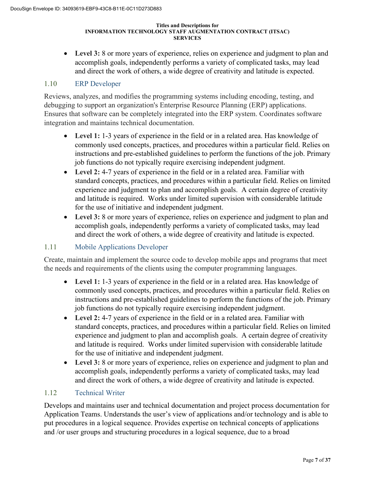**Level 3:** 8 or more years of experience, relies on experience and judgment to plan and accomplish goals, independently performs a variety of complicated tasks, may lead and direct the work of others, a wide degree of creativity and latitude is expected.

### 1.10 ERP Developer

Reviews, analyzes, and modifies the programming systems including encoding, testing, and debugging to support an organization's Enterprise Resource Planning (ERP) applications. Ensures that software can be completely integrated into the ERP system. Coordinates software integration and maintains technical documentation.

- Level 1: 1-3 years of experience in the field or in a related area. Has knowledge of commonly used concepts, practices, and procedures within a particular field. Relies on instructions and pre-established guidelines to perform the functions of the job. Primary job functions do not typically require exercising independent judgment.
- **Level 2:** 4-7 years of experience in the field or in a related area. Familiar with standard concepts, practices, and procedures within a particular field. Relies on limited experience and judgment to plan and accomplish goals. A certain degree of creativity and latitude is required. Works under limited supervision with considerable latitude for the use of initiative and independent judgment.
- **Level 3:** 8 or more years of experience, relies on experience and judgment to plan and accomplish goals, independently performs a variety of complicated tasks, may lead and direct the work of others, a wide degree of creativity and latitude is expected.

### 1.11 Mobile Applications Developer

Create, maintain and implement the source code to develop mobile apps and programs that meet the needs and requirements of the clients using the computer programming languages.

- **Level 1:** 1-3 years of experience in the field or in a related area. Has knowledge of commonly used concepts, practices, and procedures within a particular field. Relies on instructions and pre-established guidelines to perform the functions of the job. Primary job functions do not typically require exercising independent judgment.
- **Level 2:** 4-7 years of experience in the field or in a related area. Familiar with standard concepts, practices, and procedures within a particular field. Relies on limited experience and judgment to plan and accomplish goals. A certain degree of creativity and latitude is required. Works under limited supervision with considerable latitude for the use of initiative and independent judgment.
- **Level 3:** 8 or more years of experience, relies on experience and judgment to plan and accomplish goals, independently performs a variety of complicated tasks, may lead and direct the work of others, a wide degree of creativity and latitude is expected.

### 1.12 Technical Writer

Develops and maintains user and technical documentation and project process documentation for Application Teams. Understands the user's view of applications and/or technology and is able to put procedures in a logical sequence. Provides expertise on technical concepts of applications and /or user groups and structuring procedures in a logical sequence, due to a broad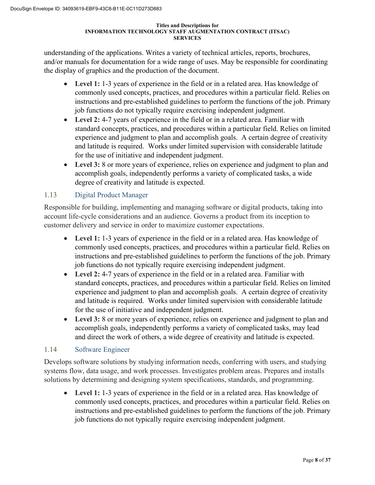understanding of the applications. Writes a variety of technical articles, reports, brochures, and/or manuals for documentation for a wide range of uses. May be responsible for coordinating the display of graphics and the production of the document.

- **Level 1:** 1-3 years of experience in the field or in a related area. Has knowledge of commonly used concepts, practices, and procedures within a particular field. Relies on instructions and pre-established guidelines to perform the functions of the job. Primary job functions do not typically require exercising independent judgment.
- **Level 2:** 4-7 years of experience in the field or in a related area. Familiar with standard concepts, practices, and procedures within a particular field. Relies on limited experience and judgment to plan and accomplish goals. A certain degree of creativity and latitude is required. Works under limited supervision with considerable latitude for the use of initiative and independent judgment.
- Level 3: 8 or more years of experience, relies on experience and judgment to plan and accomplish goals, independently performs a variety of complicated tasks, a wide degree of creativity and latitude is expected.

# 1.13 Digital Product Manager

Responsible for building, implementing and managing software or digital products, taking into account life-cycle considerations and an audience. Governs a product from its inception to customer delivery and service in order to maximize customer expectations.

- **Level 1:** 1-3 years of experience in the field or in a related area. Has knowledge of commonly used concepts, practices, and procedures within a particular field. Relies on instructions and pre-established guidelines to perform the functions of the job. Primary job functions do not typically require exercising independent judgment.
- **Level 2:** 4-7 years of experience in the field or in a related area. Familiar with standard concepts, practices, and procedures within a particular field. Relies on limited experience and judgment to plan and accomplish goals. A certain degree of creativity and latitude is required. Works under limited supervision with considerable latitude for the use of initiative and independent judgment.
- **Level 3:** 8 or more years of experience, relies on experience and judgment to plan and accomplish goals, independently performs a variety of complicated tasks, may lead and direct the work of others, a wide degree of creativity and latitude is expected.

### 1.14 Software Engineer

Develops software solutions by studying information needs, conferring with users, and studying systems flow, data usage, and work processes. Investigates problem areas. Prepares and installs solutions by determining and designing system specifications, standards, and programming.

**Level 1:** 1-3 years of experience in the field or in a related area. Has knowledge of commonly used concepts, practices, and procedures within a particular field. Relies on instructions and pre-established guidelines to perform the functions of the job. Primary job functions do not typically require exercising independent judgment.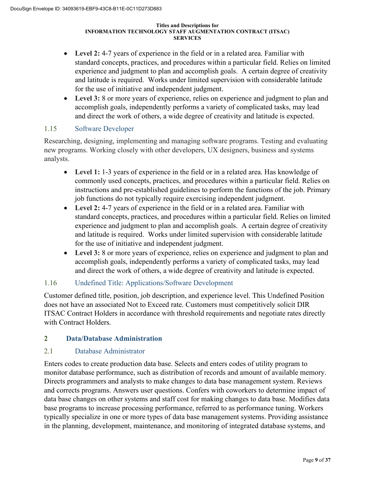- **Level 2:** 4-7 years of experience in the field or in a related area. Familiar with standard concepts, practices, and procedures within a particular field. Relies on limited experience and judgment to plan and accomplish goals. A certain degree of creativity and latitude is required. Works under limited supervision with considerable latitude for the use of initiative and independent judgment.
- **Level 3:** 8 or more years of experience, relies on experience and judgment to plan and accomplish goals, independently performs a variety of complicated tasks, may lead and direct the work of others, a wide degree of creativity and latitude is expected.

# 1.15 Software Developer

Researching, designing, implementing and managing software programs. Testing and evaluating new programs. Working closely with other developers, UX designers, business and systems analysts.

- **Level 1:** 1-3 years of experience in the field or in a related area. Has knowledge of commonly used concepts, practices, and procedures within a particular field. Relies on instructions and pre-established guidelines to perform the functions of the job. Primary job functions do not typically require exercising independent judgment.
- **Level 2:** 4-7 years of experience in the field or in a related area. Familiar with standard concepts, practices, and procedures within a particular field. Relies on limited experience and judgment to plan and accomplish goals. A certain degree of creativity and latitude is required. Works under limited supervision with considerable latitude for the use of initiative and independent judgment.
- **Level 3:** 8 or more years of experience, relies on experience and judgment to plan and accomplish goals, independently performs a variety of complicated tasks, may lead and direct the work of others, a wide degree of creativity and latitude is expected.

### 1.16 Undefined Title: Applications/Software Development

Customer defined title, position, job description, and experience level. This Undefined Position does not have an associated Not to Exceed rate. Customers must competitively solicit DIR ITSAC Contract Holders in accordance with threshold requirements and negotiate rates directly with Contract Holders.

### **2 Data/Database Administration**

### 2.1 Database Administrator

Enters codes to create production data base. Selects and enters codes of utility program to monitor database performance, such as distribution of records and amount of available memory. Directs programmers and analysts to make changes to data base management system. Reviews and corrects programs. Answers user questions. Confers with coworkers to determine impact of data base changes on other systems and staff cost for making changes to data base. Modifies data base programs to increase processing performance, referred to as performance tuning. Workers typically specialize in one or more types of data base management systems. Providing assistance in the planning, development, maintenance, and monitoring of integrated database systems, and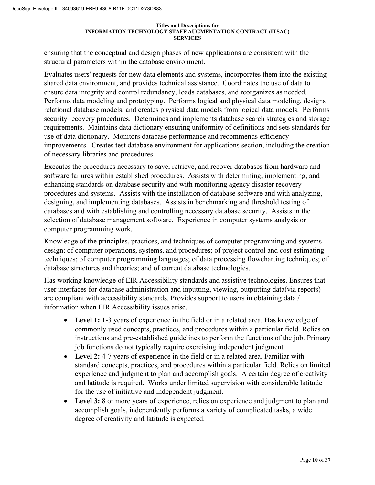ensuring that the conceptual and design phases of new applications are consistent with the structural parameters within the database environment.

Evaluates users' requests for new data elements and systems, incorporates them into the existing shared data environment, and provides technical assistance. Coordinates the use of data to ensure data integrity and control redundancy, loads databases, and reorganizes as needed. Performs data modeling and prototyping. Performs logical and physical data modeling, designs relational database models, and creates physical data models from logical data models. Performs security recovery procedures. Determines and implements database search strategies and storage requirements. Maintains data dictionary ensuring uniformity of definitions and sets standards for use of data dictionary. Monitors database performance and recommends efficiency improvements. Creates test database environment for applications section, including the creation of necessary libraries and procedures.

Executes the procedures necessary to save, retrieve, and recover databases from hardware and software failures within established procedures. Assists with determining, implementing, and enhancing standards on database security and with monitoring agency disaster recovery procedures and systems. Assists with the installation of database software and with analyzing, designing, and implementing databases. Assists in benchmarking and threshold testing of databases and with establishing and controlling necessary database security. Assists in the selection of database management software. Experience in computer systems analysis or computer programming work.

Knowledge of the principles, practices, and techniques of computer programming and systems design; of computer operations, systems, and procedures; of project control and cost estimating techniques; of computer programming languages; of data processing flowcharting techniques; of database structures and theories; and of current database technologies.

Has working knowledge of EIR Accessibility standards and assistive technologies. Ensures that user interfaces for database administration and inputting, viewing, outputting data(via reports) are compliant with accessibility standards. Provides support to users in obtaining data / information when EIR Accessibility issues arise.

- **Level 1:** 1-3 years of experience in the field or in a related area. Has knowledge of commonly used concepts, practices, and procedures within a particular field. Relies on instructions and pre-established guidelines to perform the functions of the job. Primary job functions do not typically require exercising independent judgment.
- **Level 2:** 4-7 years of experience in the field or in a related area. Familiar with standard concepts, practices, and procedures within a particular field. Relies on limited experience and judgment to plan and accomplish goals. A certain degree of creativity and latitude is required. Works under limited supervision with considerable latitude for the use of initiative and independent judgment.
- **Level 3:** 8 or more years of experience, relies on experience and judgment to plan and accomplish goals, independently performs a variety of complicated tasks, a wide degree of creativity and latitude is expected.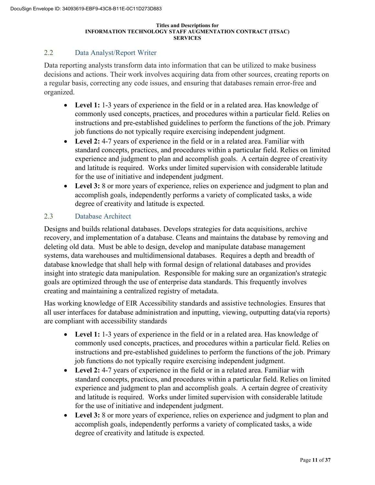### 2.2 Data Analyst/Report Writer

Data reporting analysts transform data into information that can be utilized to make business decisions and actions. Their work involves acquiring data from other sources, creating reports on a regular basis, correcting any code issues, and ensuring that databases remain error-free and organized.

- Level 1: 1-3 years of experience in the field or in a related area. Has knowledge of commonly used concepts, practices, and procedures within a particular field. Relies on instructions and pre-established guidelines to perform the functions of the job. Primary job functions do not typically require exercising independent judgment.
- **Level 2:** 4-7 years of experience in the field or in a related area. Familiar with standard concepts, practices, and procedures within a particular field. Relies on limited experience and judgment to plan and accomplish goals. A certain degree of creativity and latitude is required. Works under limited supervision with considerable latitude for the use of initiative and independent judgment.
- **Level 3:** 8 or more years of experience, relies on experience and judgment to plan and accomplish goals, independently performs a variety of complicated tasks, a wide degree of creativity and latitude is expected.

### 2.3 Database Architect

Designs and builds relational databases. Develops strategies for data acquisitions, archive recovery, and implementation of a database. Cleans and maintains the database by removing and deleting old data. Must be able to design, develop and manipulate database management systems, data warehouses and multidimensional databases. Requires a depth and breadth of database knowledge that shall help with formal design of relational databases and provides insight into strategic data manipulation. Responsible for making sure an organization's strategic goals are optimized through the use of enterprise data standards. This frequently involves creating and maintaining a centralized registry of metadata.

Has working knowledge of EIR Accessibility standards and assistive technologies. Ensures that all user interfaces for database administration and inputting, viewing, outputting data(via reports) are compliant with accessibility standards

- Level 1: 1-3 years of experience in the field or in a related area. Has knowledge of commonly used concepts, practices, and procedures within a particular field. Relies on instructions and pre-established guidelines to perform the functions of the job. Primary job functions do not typically require exercising independent judgment.
- **Level 2:** 4-7 years of experience in the field or in a related area. Familiar with standard concepts, practices, and procedures within a particular field. Relies on limited experience and judgment to plan and accomplish goals. A certain degree of creativity and latitude is required. Works under limited supervision with considerable latitude for the use of initiative and independent judgment.
- **Level 3:** 8 or more years of experience, relies on experience and judgment to plan and accomplish goals, independently performs a variety of complicated tasks, a wide degree of creativity and latitude is expected.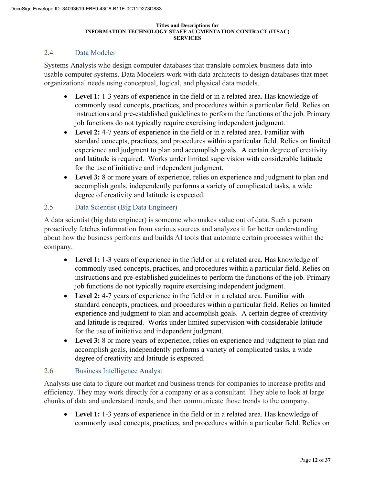### 2.4 Data Modeler

Systems Analysts who design computer databases that translate complex business data into usable computer systems. Data Modelers work with data architects to design databases that meet organizational needs using conceptual, logical, and physical data models.

- **Level 1:** 1-3 years of experience in the field or in a related area. Has knowledge of commonly used concepts, practices, and procedures within a particular field. Relies on instructions and pre-established guidelines to perform the functions of the job. Primary job functions do not typically require exercising independent judgment.
- **Level 2:** 4-7 years of experience in the field or in a related area. Familiar with standard concepts, practices, and procedures within a particular field. Relies on limited experience and judgment to plan and accomplish goals. A certain degree of creativity and latitude is required. Works under limited supervision with considerable latitude for the use of initiative and independent judgment.
- **Level 3:** 8 or more years of experience, relies on experience and judgment to plan and accomplish goals, independently performs a variety of complicated tasks, a wide degree of creativity and latitude is expected.

### 2.5 Data Scientist (Big Data Engineer)

A data scientist (big data engineer) is someone who makes value out of data. Such a person proactively fetches information from various sources and analyzes it for better understanding about how the business performs and builds AI tools that automate certain processes within the company.

- **Level 1:** 1-3 years of experience in the field or in a related area. Has knowledge of commonly used concepts, practices, and procedures within a particular field. Relies on instructions and pre-established guidelines to perform the functions of the job. Primary job functions do not typically require exercising independent judgment.
- **Level 2:** 4-7 years of experience in the field or in a related area. Familiar with standard concepts, practices, and procedures within a particular field. Relies on limited experience and judgment to plan and accomplish goals. A certain degree of creativity and latitude is required. Works under limited supervision with considerable latitude for the use of initiative and independent judgment.
- **Level 3:** 8 or more years of experience, relies on experience and judgment to plan and accomplish goals, independently performs a variety of complicated tasks, a wide degree of creativity and latitude is expected.

### 2.6 Business Intelligence Analyst

Analysts use data to figure out market and business trends for companies to increase profits and efficiency. They may work directly for a company or as a consultant. They able to look at large chunks of data and understand trends, and then communicate those trends to the company.

• **Level 1:** 1-3 years of experience in the field or in a related area. Has knowledge of commonly used concepts, practices, and procedures within a particular field. Relies on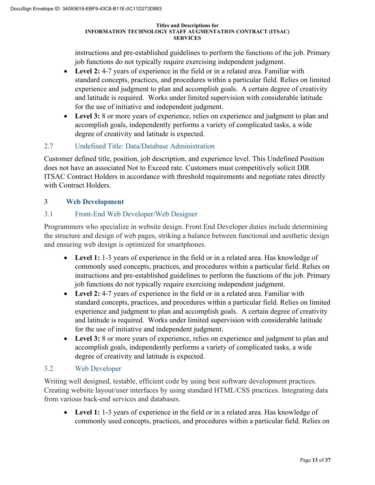instructions and pre-established guidelines to perform the functions of the job. Primary job functions do not typically require exercising independent judgment.

- **Level 2:** 4-7 years of experience in the field or in a related area. Familiar with standard concepts, practices, and procedures within a particular field. Relies on limited experience and judgment to plan and accomplish goals. A certain degree of creativity and latitude is required. Works under limited supervision with considerable latitude for the use of initiative and independent judgment.
- **Level 3:** 8 or more years of experience, relies on experience and judgment to plan and accomplish goals, independently performs a variety of complicated tasks, a wide degree of creativity and latitude is expected.

# 2.7 Undefined Title: Data/Database Administration

Customer defined title, position, job description, and experience level. This Undefined Position does not have an associated Not to Exceed rate. Customers must competitively solicit DIR ITSAC Contract Holders in accordance with threshold requirements and negotiate rates directly with Contract Holders.

# **3 Web Development**

# 3.1 Front-End Web Developer/Web Designer

Programmers who specialize in website design. Front End Developer duties include determining the structure and design of web pages, striking a balance between functional and aesthetic design and ensuring web design is optimized for smartphones.

- **Level 1:** 1-3 years of experience in the field or in a related area. Has knowledge of commonly used concepts, practices, and procedures within a particular field. Relies on instructions and pre-established guidelines to perform the functions of the job. Primary job functions do not typically require exercising independent judgment.
- **Level 2:** 4-7 years of experience in the field or in a related area. Familiar with standard concepts, practices, and procedures within a particular field. Relies on limited experience and judgment to plan and accomplish goals. A certain degree of creativity and latitude is required. Works under limited supervision with considerable latitude for the use of initiative and independent judgment.
- **Level 3:** 8 or more years of experience, relies on experience and judgment to plan and accomplish goals, independently performs a variety of complicated tasks, a wide degree of creativity and latitude is expected.

### 3.2 Web Developer

Writing well designed, testable, efficient code by using best software development practices. Creating website layout/user interfaces by using standard HTML/CSS practices. Integrating data from various back-end services and databases.

• **Level 1:** 1-3 years of experience in the field or in a related area. Has knowledge of commonly used concepts, practices, and procedures within a particular field. Relies on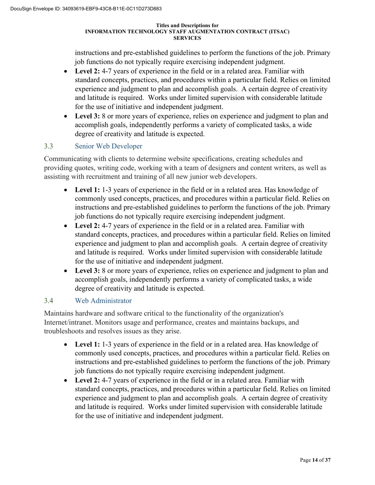instructions and pre-established guidelines to perform the functions of the job. Primary job functions do not typically require exercising independent judgment.

- **Level 2:** 4-7 years of experience in the field or in a related area. Familiar with standard concepts, practices, and procedures within a particular field. Relies on limited experience and judgment to plan and accomplish goals. A certain degree of creativity and latitude is required. Works under limited supervision with considerable latitude for the use of initiative and independent judgment.
- **Level 3:** 8 or more years of experience, relies on experience and judgment to plan and accomplish goals, independently performs a variety of complicated tasks, a wide degree of creativity and latitude is expected.

# 3.3 Senior Web Developer

Communicating with clients to determine website specifications, creating schedules and providing quotes, writing code, working with a team of designers and content writers, as well as assisting with recruitment and training of all new junior web developers.

- **Level 1:** 1-3 years of experience in the field or in a related area. Has knowledge of commonly used concepts, practices, and procedures within a particular field. Relies on instructions and pre-established guidelines to perform the functions of the job. Primary job functions do not typically require exercising independent judgment.
- **Level 2:** 4-7 years of experience in the field or in a related area. Familiar with standard concepts, practices, and procedures within a particular field. Relies on limited experience and judgment to plan and accomplish goals. A certain degree of creativity and latitude is required. Works under limited supervision with considerable latitude for the use of initiative and independent judgment.
- **Level 3:** 8 or more years of experience, relies on experience and judgment to plan and accomplish goals, independently performs a variety of complicated tasks, a wide degree of creativity and latitude is expected.

### 3.4 Web Administrator

Maintains hardware and software critical to the functionality of the organization's Internet/intranet. Monitors usage and performance, creates and maintains backups, and troubleshoots and resolves issues as they arise.

- **Level 1:** 1-3 years of experience in the field or in a related area. Has knowledge of commonly used concepts, practices, and procedures within a particular field. Relies on instructions and pre-established guidelines to perform the functions of the job. Primary job functions do not typically require exercising independent judgment.
- **Level 2:** 4-7 years of experience in the field or in a related area. Familiar with standard concepts, practices, and procedures within a particular field. Relies on limited experience and judgment to plan and accomplish goals. A certain degree of creativity and latitude is required. Works under limited supervision with considerable latitude for the use of initiative and independent judgment.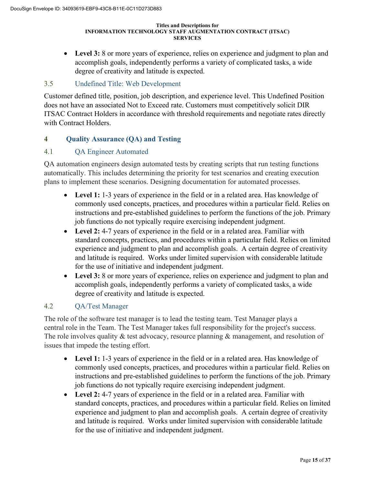• **Level 3:** 8 or more years of experience, relies on experience and judgment to plan and accomplish goals, independently performs a variety of complicated tasks, a wide degree of creativity and latitude is expected.

## 3.5 Undefined Title: Web Development

Customer defined title, position, job description, and experience level. This Undefined Position does not have an associated Not to Exceed rate. Customers must competitively solicit DIR ITSAC Contract Holders in accordance with threshold requirements and negotiate rates directly with Contract Holders.

### **4 Quality Assurance (QA) and Testing**

### 4.1 QA Engineer Automated

QA automation engineers design automated tests by creating scripts that run testing functions automatically. This includes determining the priority for test scenarios and creating execution plans to implement these scenarios. Designing documentation for automated processes.

- **Level 1:** 1-3 years of experience in the field or in a related area. Has knowledge of commonly used concepts, practices, and procedures within a particular field. Relies on instructions and pre-established guidelines to perform the functions of the job. Primary job functions do not typically require exercising independent judgment.
- **Level 2:** 4-7 years of experience in the field or in a related area. Familiar with standard concepts, practices, and procedures within a particular field. Relies on limited experience and judgment to plan and accomplish goals. A certain degree of creativity and latitude is required. Works under limited supervision with considerable latitude for the use of initiative and independent judgment.
- **Level 3:** 8 or more years of experience, relies on experience and judgment to plan and accomplish goals, independently performs a variety of complicated tasks, a wide degree of creativity and latitude is expected.

### 4.2 QA/Test Manager

The role of the software test manager is to lead the testing team. Test Manager plays a central role in the Team. The Test Manager takes full responsibility for the project's success. The role involves quality & test advocacy, resource planning & management, and resolution of issues that impede the testing effort.

- Level 1: 1-3 years of experience in the field or in a related area. Has knowledge of commonly used concepts, practices, and procedures within a particular field. Relies on instructions and pre-established guidelines to perform the functions of the job. Primary job functions do not typically require exercising independent judgment.
- **Level 2:** 4-7 years of experience in the field or in a related area. Familiar with standard concepts, practices, and procedures within a particular field. Relies on limited experience and judgment to plan and accomplish goals. A certain degree of creativity and latitude is required. Works under limited supervision with considerable latitude for the use of initiative and independent judgment.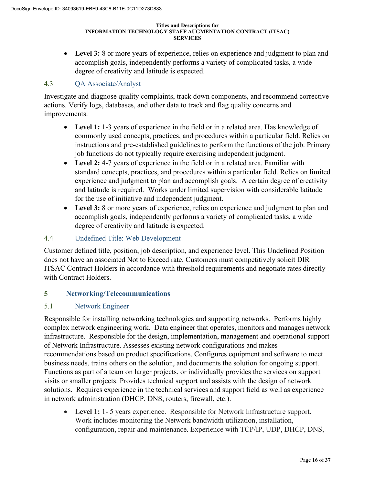• **Level 3:** 8 or more years of experience, relies on experience and judgment to plan and accomplish goals, independently performs a variety of complicated tasks, a wide degree of creativity and latitude is expected.

### 4.3 QA Associate/Analyst

Investigate and diagnose quality complaints, track down components, and recommend corrective actions. Verify logs, databases, and other data to track and flag quality concerns and improvements.

- **Level 1:** 1-3 years of experience in the field or in a related area. Has knowledge of commonly used concepts, practices, and procedures within a particular field. Relies on instructions and pre-established guidelines to perform the functions of the job. Primary job functions do not typically require exercising independent judgment.
- **Level 2:** 4-7 years of experience in the field or in a related area. Familiar with standard concepts, practices, and procedures within a particular field. Relies on limited experience and judgment to plan and accomplish goals. A certain degree of creativity and latitude is required. Works under limited supervision with considerable latitude for the use of initiative and independent judgment.
- **Level 3:** 8 or more years of experience, relies on experience and judgment to plan and accomplish goals, independently performs a variety of complicated tasks, a wide degree of creativity and latitude is expected.

### 4.4 Undefined Title: Web Development

Customer defined title, position, job description, and experience level. This Undefined Position does not have an associated Not to Exceed rate. Customers must competitively solicit DIR ITSAC Contract Holders in accordance with threshold requirements and negotiate rates directly with Contract Holders.

### **5 Networking/Telecommunications**

### 5.1 Network Engineer

Responsible for installing networking technologies and supporting networks. Performs highly complex network engineering work. Data engineer that operates, monitors and manages network infrastructure. Responsible for the design, implementation, management and operational support of Network Infrastructure. Assesses existing network configurations and makes recommendations based on product specifications. Configures equipment and software to meet business needs, trains others on the solution, and documents the solution for ongoing support. Functions as part of a team on larger projects, or individually provides the services on support visits or smaller projects. Provides technical support and assists with the design of network solutions. Requires experience in the technical services and support field as well as experience in network administration (DHCP, DNS, routers, firewall, etc.).

• **Level 1:** 1- 5 years experience. Responsible for Network Infrastructure support. Work includes monitoring the Network bandwidth utilization, installation, configuration, repair and maintenance. Experience with TCP/IP, UDP, DHCP, DNS,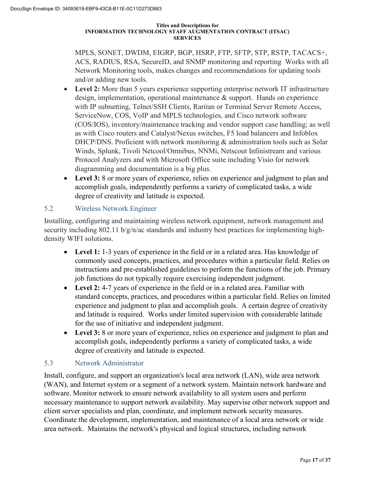MPLS, SONET, DWDM, EIGRP, BGP, HSRP, FTP, SFTP, STP, RSTP, TACACS+, ACS, RADIUS, RSA, SecureID, and SNMP monitoring and reporting Works with all Network Monitoring tools, makes changes and recommendations for updating tools and/or adding new tools.

- **Level 2:** More than 5 years experience supporting enterprise network IT infrastructure design, implementation, operational maintenance & support. Hands on experience with IP subnetting, Telnet/SSH Clients, Raritan or Terminal Server Remote Access, ServiceNow, COS, VoIP and MPLS technologies, and Cisco network software (COS/IOS), inventory/maintenance tracking and vendor support case handling; as well as with Cisco routers and Catalyst/Nexus switches, F5 load balancers and Infoblox DHCP/DNS. Proficient with network monitoring & administration tools such as Solar Winds, Splunk, Tivoli Netcool/Omnibus, NNMi, Netscout Infinistream and various Protocol Analyzers and with Microsoft Office suite including Visio for network diagramming and documentation is a big plus.
- **Level 3:** 8 or more years of experience, relies on experience and judgment to plan and accomplish goals, independently performs a variety of complicated tasks, a wide degree of creativity and latitude is expected.

# 5.2 Wireless Network Engineer

Installing, configuring and maintaining wireless network equipment, network management and security including 802.11 b/g/n/ac standards and industry best practices for implementing highdensity WIFI solutions.

- Level 1: 1-3 years of experience in the field or in a related area. Has knowledge of commonly used concepts, practices, and procedures within a particular field. Relies on instructions and pre-established guidelines to perform the functions of the job. Primary job functions do not typically require exercising independent judgment.
- **Level 2:** 4-7 years of experience in the field or in a related area. Familiar with standard concepts, practices, and procedures within a particular field. Relies on limited experience and judgment to plan and accomplish goals. A certain degree of creativity and latitude is required. Works under limited supervision with considerable latitude for the use of initiative and independent judgment.
- Level 3: 8 or more years of experience, relies on experience and judgment to plan and accomplish goals, independently performs a variety of complicated tasks, a wide degree of creativity and latitude is expected.

### 5.3 Network Administrator

Install, configure, and support an organization's local area network (LAN), wide area network (WAN), and Internet system or a segment of a network system. Maintain network hardware and software. Monitor network to ensure network availability to all system users and perform necessary maintenance to support network availability. May supervise other network support and client server specialists and plan, coordinate, and implement network security measures. Coordinate the development, implementation, and maintenance of a local area network or wide area network. Maintains the network's physical and logical structures, including network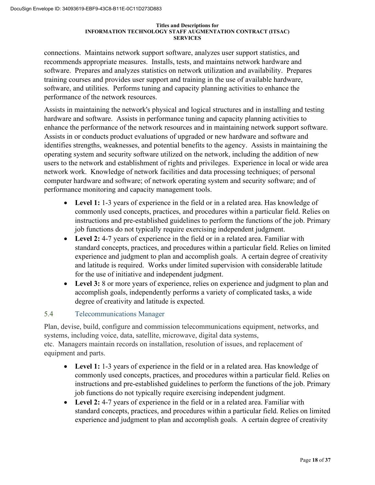connections. Maintains network support software, analyzes user support statistics, and recommends appropriate measures. Installs, tests, and maintains network hardware and software. Prepares and analyzes statistics on network utilization and availability. Prepares training courses and provides user support and training in the use of available hardware, software, and utilities. Performs tuning and capacity planning activities to enhance the performance of the network resources.

Assists in maintaining the network's physical and logical structures and in installing and testing hardware and software. Assists in performance tuning and capacity planning activities to enhance the performance of the network resources and in maintaining network support software. Assists in or conducts product evaluations of upgraded or new hardware and software and identifies strengths, weaknesses, and potential benefits to the agency. Assists in maintaining the operating system and security software utilized on the network, including the addition of new users to the network and establishment of rights and privileges. Experience in local or wide area network work. Knowledge of network facilities and data processing techniques; of personal computer hardware and software; of network operating system and security software; and of performance monitoring and capacity management tools.

- **Level 1:** 1-3 years of experience in the field or in a related area. Has knowledge of commonly used concepts, practices, and procedures within a particular field. Relies on instructions and pre-established guidelines to perform the functions of the job. Primary job functions do not typically require exercising independent judgment.
- **Level 2:** 4-7 years of experience in the field or in a related area. Familiar with standard concepts, practices, and procedures within a particular field. Relies on limited experience and judgment to plan and accomplish goals. A certain degree of creativity and latitude is required. Works under limited supervision with considerable latitude for the use of initiative and independent judgment.
- **Level 3:** 8 or more years of experience, relies on experience and judgment to plan and accomplish goals, independently performs a variety of complicated tasks, a wide degree of creativity and latitude is expected.

### 5.4 Telecommunications Manager

Plan, devise, build, configure and commission telecommunications equipment, networks, and systems, including voice, data, satellite, microwave, digital data systems, etc. Managers maintain records on installation, resolution of issues, and replacement of equipment and parts.

- **Level 1:** 1-3 years of experience in the field or in a related area. Has knowledge of commonly used concepts, practices, and procedures within a particular field. Relies on instructions and pre-established guidelines to perform the functions of the job. Primary job functions do not typically require exercising independent judgment.
- **Level 2:** 4-7 years of experience in the field or in a related area. Familiar with standard concepts, practices, and procedures within a particular field. Relies on limited experience and judgment to plan and accomplish goals. A certain degree of creativity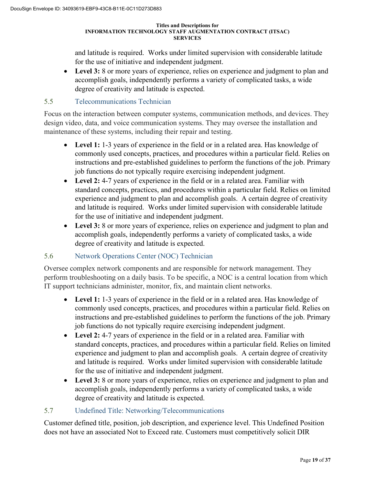and latitude is required. Works under limited supervision with considerable latitude for the use of initiative and independent judgment.

• **Level 3:** 8 or more years of experience, relies on experience and judgment to plan and accomplish goals, independently performs a variety of complicated tasks, a wide degree of creativity and latitude is expected.

### 5.5 Telecommunications Technician

Focus on the interaction between computer systems, communication methods, and devices. They design video, data, and voice communication systems. They may oversee the installation and maintenance of these systems, including their repair and testing.

- **Level 1:** 1-3 years of experience in the field or in a related area. Has knowledge of commonly used concepts, practices, and procedures within a particular field. Relies on instructions and pre-established guidelines to perform the functions of the job. Primary job functions do not typically require exercising independent judgment.
- **Level 2:** 4-7 years of experience in the field or in a related area. Familiar with standard concepts, practices, and procedures within a particular field. Relies on limited experience and judgment to plan and accomplish goals. A certain degree of creativity and latitude is required. Works under limited supervision with considerable latitude for the use of initiative and independent judgment.
- **Level 3:** 8 or more years of experience, relies on experience and judgment to plan and accomplish goals, independently performs a variety of complicated tasks, a wide degree of creativity and latitude is expected.

### 5.6 Network Operations Center (NOC) Technician

Oversee complex network components and are responsible for network management. They perform troubleshooting on a daily basis. To be specific, a NOC is a central location from which IT support technicians administer, monitor, fix, and maintain client networks.

- **Level 1:** 1-3 years of experience in the field or in a related area. Has knowledge of commonly used concepts, practices, and procedures within a particular field. Relies on instructions and pre-established guidelines to perform the functions of the job. Primary job functions do not typically require exercising independent judgment.
- **Level 2:** 4-7 years of experience in the field or in a related area. Familiar with standard concepts, practices, and procedures within a particular field. Relies on limited experience and judgment to plan and accomplish goals. A certain degree of creativity and latitude is required. Works under limited supervision with considerable latitude for the use of initiative and independent judgment.
- **Level 3:** 8 or more years of experience, relies on experience and judgment to plan and accomplish goals, independently performs a variety of complicated tasks, a wide degree of creativity and latitude is expected.

### 5.7 Undefined Title: Networking/Telecommunications

Customer defined title, position, job description, and experience level. This Undefined Position does not have an associated Not to Exceed rate. Customers must competitively solicit DIR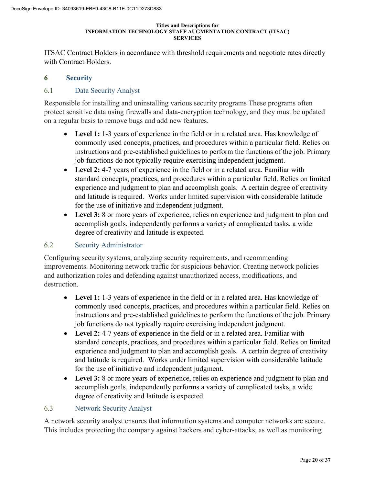ITSAC Contract Holders in accordance with threshold requirements and negotiate rates directly with Contract Holders.

### **6 Security**

### 6.1 Data Security Analyst

Responsible for installing and uninstalling various security programs These programs often protect sensitive data using firewalls and data-encryption technology, and they must be updated on a regular basis to remove bugs and add new features.

- **Level 1:** 1-3 years of experience in the field or in a related area. Has knowledge of commonly used concepts, practices, and procedures within a particular field. Relies on instructions and pre-established guidelines to perform the functions of the job. Primary job functions do not typically require exercising independent judgment.
- **Level 2:** 4-7 years of experience in the field or in a related area. Familiar with standard concepts, practices, and procedures within a particular field. Relies on limited experience and judgment to plan and accomplish goals. A certain degree of creativity and latitude is required. Works under limited supervision with considerable latitude for the use of initiative and independent judgment.
- **Level 3:** 8 or more years of experience, relies on experience and judgment to plan and accomplish goals, independently performs a variety of complicated tasks, a wide degree of creativity and latitude is expected.

### 6.2 Security Administrator

Configuring security systems, analyzing security requirements, and recommending improvements. Monitoring network traffic for suspicious behavior. Creating network policies and authorization roles and defending against unauthorized access, modifications, and destruction.

- **Level 1:** 1-3 years of experience in the field or in a related area. Has knowledge of commonly used concepts, practices, and procedures within a particular field. Relies on instructions and pre-established guidelines to perform the functions of the job. Primary job functions do not typically require exercising independent judgment.
- **Level 2:** 4-7 years of experience in the field or in a related area. Familiar with standard concepts, practices, and procedures within a particular field. Relies on limited experience and judgment to plan and accomplish goals. A certain degree of creativity and latitude is required. Works under limited supervision with considerable latitude for the use of initiative and independent judgment.
- **Level 3:** 8 or more years of experience, relies on experience and judgment to plan and accomplish goals, independently performs a variety of complicated tasks, a wide degree of creativity and latitude is expected.

### 6.3 Network Security Analyst

A network security analyst ensures that information systems and computer networks are secure. This includes protecting the company against hackers and cyber-attacks, as well as monitoring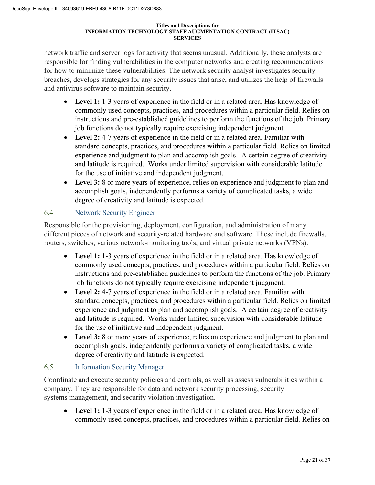network traffic and server logs for activity that seems unusual. Additionally, these analysts are responsible for finding vulnerabilities in the computer networks and creating recommendations for how to minimize these vulnerabilities. The network security analyst investigates security breaches, develops strategies for any security issues that arise, and utilizes the help of firewalls and antivirus software to maintain security.

- **Level 1:** 1-3 years of experience in the field or in a related area. Has knowledge of commonly used concepts, practices, and procedures within a particular field. Relies on instructions and pre-established guidelines to perform the functions of the job. Primary job functions do not typically require exercising independent judgment.
- **Level 2:** 4-7 years of experience in the field or in a related area. Familiar with standard concepts, practices, and procedures within a particular field. Relies on limited experience and judgment to plan and accomplish goals. A certain degree of creativity and latitude is required. Works under limited supervision with considerable latitude for the use of initiative and independent judgment.
- **Level 3:** 8 or more years of experience, relies on experience and judgment to plan and accomplish goals, independently performs a variety of complicated tasks, a wide degree of creativity and latitude is expected.

# 6.4 Network Security Engineer

Responsible for the provisioning, deployment, configuration, and administration of many different pieces of network and security-related hardware and software. These include firewalls, routers, switches, various network-monitoring tools, and virtual private networks (VPNs).

- **Level 1:** 1-3 years of experience in the field or in a related area. Has knowledge of commonly used concepts, practices, and procedures within a particular field. Relies on instructions and pre-established guidelines to perform the functions of the job. Primary job functions do not typically require exercising independent judgment.
- **Level 2:** 4-7 years of experience in the field or in a related area. Familiar with standard concepts, practices, and procedures within a particular field. Relies on limited experience and judgment to plan and accomplish goals. A certain degree of creativity and latitude is required. Works under limited supervision with considerable latitude for the use of initiative and independent judgment.
- **Level 3:** 8 or more years of experience, relies on experience and judgment to plan and accomplish goals, independently performs a variety of complicated tasks, a wide degree of creativity and latitude is expected.

# 6.5 Information Security Manager

Coordinate and execute security policies and controls, as well as assess vulnerabilities within a company. They are responsible for data and network security processing, security systems management, and security violation investigation.

• **Level 1:** 1-3 years of experience in the field or in a related area. Has knowledge of commonly used concepts, practices, and procedures within a particular field. Relies on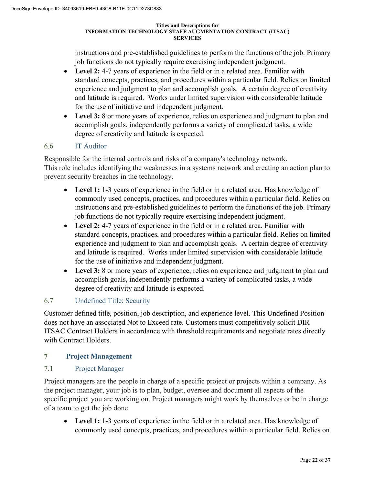instructions and pre-established guidelines to perform the functions of the job. Primary job functions do not typically require exercising independent judgment.

- **Level 2:** 4-7 years of experience in the field or in a related area. Familiar with standard concepts, practices, and procedures within a particular field. Relies on limited experience and judgment to plan and accomplish goals. A certain degree of creativity and latitude is required. Works under limited supervision with considerable latitude for the use of initiative and independent judgment.
- **Level 3:** 8 or more years of experience, relies on experience and judgment to plan and accomplish goals, independently performs a variety of complicated tasks, a wide degree of creativity and latitude is expected.

# 6.6 IT Auditor

Responsible for the internal controls and risks of a company's technology network. This role includes identifying the weaknesses in a systems network and creating an action plan to prevent security breaches in the technology.

- **Level 1:** 1-3 years of experience in the field or in a related area. Has knowledge of commonly used concepts, practices, and procedures within a particular field. Relies on instructions and pre-established guidelines to perform the functions of the job. Primary job functions do not typically require exercising independent judgment.
- **Level 2:** 4-7 years of experience in the field or in a related area. Familiar with standard concepts, practices, and procedures within a particular field. Relies on limited experience and judgment to plan and accomplish goals. A certain degree of creativity and latitude is required. Works under limited supervision with considerable latitude for the use of initiative and independent judgment.
- **Level 3:** 8 or more years of experience, relies on experience and judgment to plan and accomplish goals, independently performs a variety of complicated tasks, a wide degree of creativity and latitude is expected.

# 6.7 Undefined Title: Security

Customer defined title, position, job description, and experience level. This Undefined Position does not have an associated Not to Exceed rate. Customers must competitively solicit DIR ITSAC Contract Holders in accordance with threshold requirements and negotiate rates directly with Contract Holders.

### **7 Project Management**

### 7.1 Project Manager

Project managers are the people in charge of a specific project or projects within a company. As the project manager, your job is to plan, budget, oversee and document all aspects of the specific project you are working on. Project managers might work by themselves or be in charge of a team to get the job done.

• **Level 1:** 1-3 years of experience in the field or in a related area. Has knowledge of commonly used concepts, practices, and procedures within a particular field. Relies on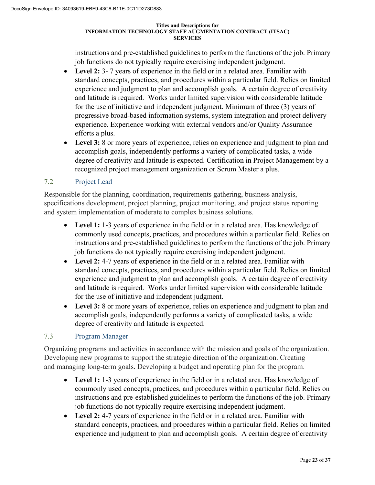instructions and pre-established guidelines to perform the functions of the job. Primary job functions do not typically require exercising independent judgment.

- **Level 2:** 3- 7 years of experience in the field or in a related area. Familiar with standard concepts, practices, and procedures within a particular field. Relies on limited experience and judgment to plan and accomplish goals. A certain degree of creativity and latitude is required. Works under limited supervision with considerable latitude for the use of initiative and independent judgment. Minimum of three (3) years of progressive broad-based information systems, system integration and project delivery experience. Experience working with external vendors and/or Quality Assurance efforts a plus.
- Level 3: 8 or more years of experience, relies on experience and judgment to plan and accomplish goals, independently performs a variety of complicated tasks, a wide degree of creativity and latitude is expected. Certification in Project Management by a recognized project management organization or Scrum Master a plus.

# 7.2 Project Lead

Responsible for the planning, coordination, requirements gathering, business analysis, specifications development, project planning, project monitoring, and project status reporting and system implementation of moderate to complex business solutions.

- Level 1: 1-3 years of experience in the field or in a related area. Has knowledge of commonly used concepts, practices, and procedures within a particular field. Relies on instructions and pre-established guidelines to perform the functions of the job. Primary job functions do not typically require exercising independent judgment.
- **Level 2:** 4-7 years of experience in the field or in a related area. Familiar with standard concepts, practices, and procedures within a particular field. Relies on limited experience and judgment to plan and accomplish goals. A certain degree of creativity and latitude is required. Works under limited supervision with considerable latitude for the use of initiative and independent judgment.
- **Level 3:** 8 or more years of experience, relies on experience and judgment to plan and accomplish goals, independently performs a variety of complicated tasks, a wide degree of creativity and latitude is expected.

# 7.3 Program Manager

Organizing programs and activities in accordance with the mission and goals of the organization. Developing new programs to support the strategic direction of the organization. Creating and managing long-term goals. Developing a budget and operating plan for the program.

- **Level 1:** 1-3 years of experience in the field or in a related area. Has knowledge of commonly used concepts, practices, and procedures within a particular field. Relies on instructions and pre-established guidelines to perform the functions of the job. Primary job functions do not typically require exercising independent judgment.
- **Level 2:** 4-7 years of experience in the field or in a related area. Familiar with standard concepts, practices, and procedures within a particular field. Relies on limited experience and judgment to plan and accomplish goals. A certain degree of creativity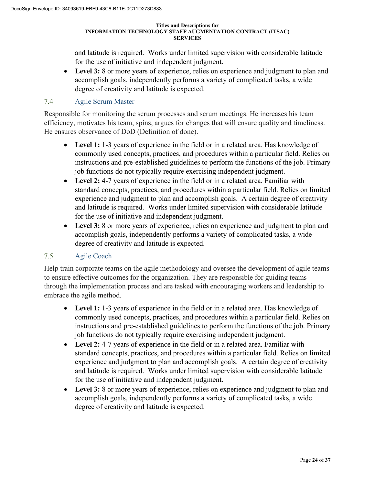and latitude is required. Works under limited supervision with considerable latitude for the use of initiative and independent judgment.

• **Level 3:** 8 or more years of experience, relies on experience and judgment to plan and accomplish goals, independently performs a variety of complicated tasks, a wide degree of creativity and latitude is expected.

# 7.4 Agile Scrum Master

Responsible for monitoring the scrum processes and scrum meetings. He increases his team efficiency, motivates his team, spins, argues for changes that will ensure quality and timeliness. He ensures observance of DoD (Definition of done).

- **Level 1:** 1-3 years of experience in the field or in a related area. Has knowledge of commonly used concepts, practices, and procedures within a particular field. Relies on instructions and pre-established guidelines to perform the functions of the job. Primary job functions do not typically require exercising independent judgment.
- **Level 2:** 4-7 years of experience in the field or in a related area. Familiar with standard concepts, practices, and procedures within a particular field. Relies on limited experience and judgment to plan and accomplish goals. A certain degree of creativity and latitude is required. Works under limited supervision with considerable latitude for the use of initiative and independent judgment.
- **Level 3:** 8 or more years of experience, relies on experience and judgment to plan and accomplish goals, independently performs a variety of complicated tasks, a wide degree of creativity and latitude is expected.

### 7.5 Agile Coach

Help train corporate teams on the agile methodology and oversee the development of agile teams to ensure effective outcomes for the organization. They are responsible for guiding teams through the implementation process and are tasked with encouraging workers and leadership to embrace the agile method.

- **Level 1:** 1-3 years of experience in the field or in a related area. Has knowledge of commonly used concepts, practices, and procedures within a particular field. Relies on instructions and pre-established guidelines to perform the functions of the job. Primary job functions do not typically require exercising independent judgment.
- **Level 2:** 4-7 years of experience in the field or in a related area. Familiar with standard concepts, practices, and procedures within a particular field. Relies on limited experience and judgment to plan and accomplish goals. A certain degree of creativity and latitude is required. Works under limited supervision with considerable latitude for the use of initiative and independent judgment.
- **Level 3:** 8 or more years of experience, relies on experience and judgment to plan and accomplish goals, independently performs a variety of complicated tasks, a wide degree of creativity and latitude is expected.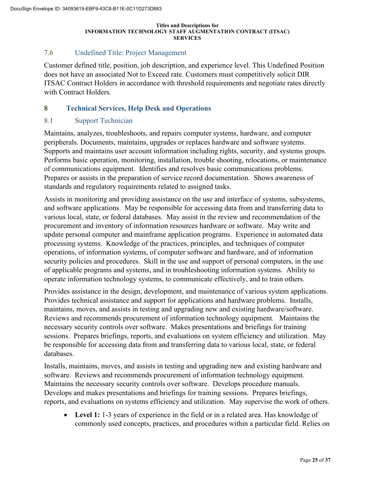### 7.6 Undefined Title: Project Management

Customer defined title, position, job description, and experience level. This Undefined Position does not have an associated Not to Exceed rate. Customers must competitively solicit DIR ITSAC Contract Holders in accordance with threshold requirements and negotiate rates directly with Contract Holders.

### **8 Technical Services, Help Desk and Operations**

### 8.1 Support Technician

Maintains, analyzes, troubleshoots, and repairs computer systems, hardware, and computer peripherals. Documents, maintains, upgrades or replaces hardware and software systems. Supports and maintains user account information including rights, security, and systems groups. Performs basic operation, monitoring, installation, trouble shooting, relocations, or maintenance of communications equipment. Identifies and resolves basic communications problems. Prepares or assists in the preparation of service record documentation. Shows awareness of standards and regulatory requirements related to assigned tasks.

Assists in monitoring and providing assistance on the use and interface of systems, subsystems, and software applications. May be responsible for accessing data from and transferring data to various local, state, or federal databases. May assist in the review and recommendation of the procurement and inventory of information resources hardware or software. May write and update personal computer and mainframe application programs. Experience in automated data processing systems. Knowledge of the practices, principles, and techniques of computer operations, of information systems, of computer software and hardware, and of information security policies and procedures. Skill in the use and support of personal computers, in the use of applicable programs and systems, and in troubleshooting information systems. Ability to operate information technology systems, to communicate effectively, and to train others.

Provides assistance in the design, development, and maintenance of various system applications. Provides technical assistance and support for applications and hardware problems. Installs, maintains, moves, and assists in testing and upgrading new and existing hardware/software. Reviews and recommends procurement of information technology equipment. Maintains the necessary security controls over software. Makes presentations and briefings for training sessions. Prepares briefings, reports, and evaluations on system efficiency and utilization. May be responsible for accessing data from and transferring data to various local, state, or federal databases.

Installs, maintains, moves, and assists in testing and upgrading new and existing hardware and software. Reviews and recommends procurement of information technology equipment. Maintains the necessary security controls over software. Develops procedure manuals. Develops and makes presentations and briefings for training sessions. Prepares briefings, reports, and evaluations on systems efficiency and utilization. May supervise the work of others.

• Level 1: 1-3 years of experience in the field or in a related area. Has knowledge of commonly used concepts, practices, and procedures within a particular field. Relies on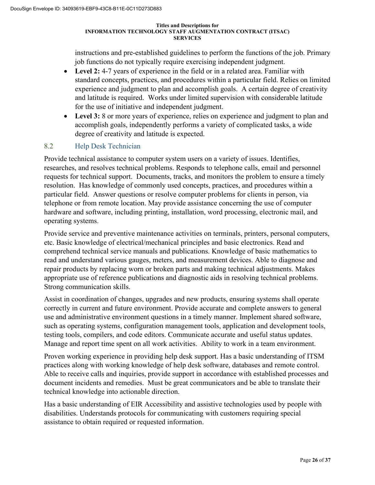instructions and pre-established guidelines to perform the functions of the job. Primary job functions do not typically require exercising independent judgment.

- **Level 2:** 4-7 years of experience in the field or in a related area. Familiar with standard concepts, practices, and procedures within a particular field. Relies on limited experience and judgment to plan and accomplish goals. A certain degree of creativity and latitude is required. Works under limited supervision with considerable latitude for the use of initiative and independent judgment.
- **Level 3:** 8 or more years of experience, relies on experience and judgment to plan and accomplish goals, independently performs a variety of complicated tasks, a wide degree of creativity and latitude is expected.

# 8.2 Help Desk Technician

Provide technical assistance to computer system users on a variety of issues. Identifies, researches, and resolves technical problems. Responds to telephone calls, email and personnel requests for technical support. Documents, tracks, and monitors the problem to ensure a timely resolution. Has knowledge of commonly used concepts, practices, and procedures within a particular field. Answer questions or resolve computer problems for clients in person, via telephone or from remote location. May provide assistance concerning the use of computer hardware and software, including printing, installation, word processing, electronic mail, and operating systems.

Provide service and preventive maintenance activities on terminals, printers, personal computers, etc. Basic knowledge of electrical/mechanical principles and basic electronics. Read and comprehend technical service manuals and publications. Knowledge of basic mathematics to read and understand various gauges, meters, and measurement devices. Able to diagnose and repair products by replacing worn or broken parts and making technical adjustments. Makes appropriate use of reference publications and diagnostic aids in resolving technical problems. Strong communication skills.

Assist in coordination of changes, upgrades and new products, ensuring systems shall operate correctly in current and future environment. Provide accurate and complete answers to general use and administrative environment questions in a timely manner. Implement shared software, such as operating systems, configuration management tools, application and development tools, testing tools, compilers, and code editors. Communicate accurate and useful status updates. Manage and report time spent on all work activities. Ability to work in a team environment.

Proven working experience in providing help desk support. Has a basic understanding of ITSM practices along with working knowledge of help desk software, databases and remote control. Able to receive calls and inquiries, provide support in accordance with established processes and document incidents and remedies. Must be great communicators and be able to translate their technical knowledge into actionable direction.

Has a basic understanding of EIR Accessibility and assistive technologies used by people with disabilities. Understands protocols for communicating with customers requiring special assistance to obtain required or requested information.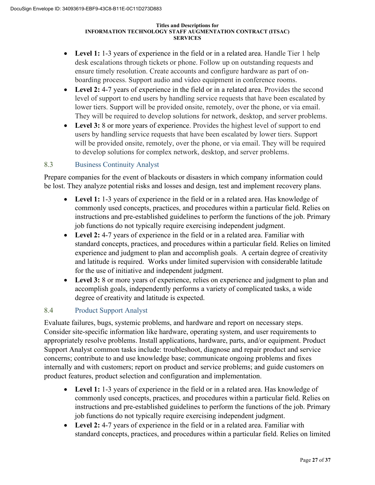- **Level 1:** 1-3 years of experience in the field or in a related area. Handle Tier 1 help desk escalations through tickets or phone. Follow up on outstanding requests and ensure timely resolution. Create accounts and configure hardware as part of onboarding process. Support audio and video equipment in conference rooms.
- **Level 2:** 4-7 years of experience in the field or in a related area. Provides the second level of support to end users by handling service requests that have been escalated by lower tiers. Support will be provided onsite, remotely, over the phone, or via email. They will be required to develop solutions for network, desktop, and server problems.
- Level 3: 8 or more years of experience. Provides the highest level of support to end users by handling service requests that have been escalated by lower tiers. Support will be provided onsite, remotely, over the phone, or via email. They will be required to develop solutions for complex network, desktop, and server problems.

# 8.3 Business Continuity Analyst

Prepare companies for the event of blackouts or disasters in which company information could be lost. They analyze potential risks and losses and design, test and implement recovery plans.

- **Level 1:** 1-3 years of experience in the field or in a related area. Has knowledge of commonly used concepts, practices, and procedures within a particular field. Relies on instructions and pre-established guidelines to perform the functions of the job. Primary job functions do not typically require exercising independent judgment.
- **Level 2:** 4-7 years of experience in the field or in a related area. Familiar with standard concepts, practices, and procedures within a particular field. Relies on limited experience and judgment to plan and accomplish goals. A certain degree of creativity and latitude is required. Works under limited supervision with considerable latitude for the use of initiative and independent judgment.
- **Level 3:** 8 or more years of experience, relies on experience and judgment to plan and accomplish goals, independently performs a variety of complicated tasks, a wide degree of creativity and latitude is expected.

# 8.4 Product Support Analyst

Evaluate failures, bugs, systemic problems, and hardware and report on necessary steps. Consider site-specific information like hardware, operating system, and user requirements to appropriately resolve problems. Install applications, hardware, parts, and/or equipment. Product Support Analyst common tasks include: troubleshoot, diagnose and repair product and service concerns; contribute to and use knowledge base; communicate ongoing problems and fixes internally and with customers; report on product and service problems; and guide customers on product features, product selection and configuration and implementation.

- Level 1: 1-3 years of experience in the field or in a related area. Has knowledge of commonly used concepts, practices, and procedures within a particular field. Relies on instructions and pre-established guidelines to perform the functions of the job. Primary job functions do not typically require exercising independent judgment.
- **Level 2:** 4-7 years of experience in the field or in a related area. Familiar with standard concepts, practices, and procedures within a particular field. Relies on limited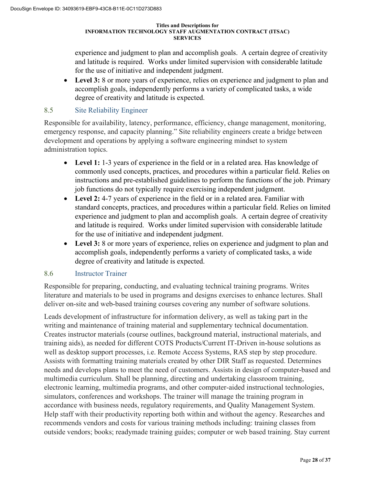experience and judgment to plan and accomplish goals. A certain degree of creativity and latitude is required. Works under limited supervision with considerable latitude for the use of initiative and independent judgment.

• **Level 3:** 8 or more years of experience, relies on experience and judgment to plan and accomplish goals, independently performs a variety of complicated tasks, a wide degree of creativity and latitude is expected.

### 8.5 Site Reliability Engineer

Responsible for availability, latency, performance, efficiency, change management, monitoring, emergency response, and capacity planning." Site reliability engineers create a bridge between development and operations by applying a software engineering mindset to system administration topics.

- **Level 1:** 1-3 years of experience in the field or in a related area. Has knowledge of commonly used concepts, practices, and procedures within a particular field. Relies on instructions and pre-established guidelines to perform the functions of the job. Primary job functions do not typically require exercising independent judgment.
- **Level 2:** 4-7 years of experience in the field or in a related area. Familiar with standard concepts, practices, and procedures within a particular field. Relies on limited experience and judgment to plan and accomplish goals. A certain degree of creativity and latitude is required. Works under limited supervision with considerable latitude for the use of initiative and independent judgment.
- **Level 3:** 8 or more years of experience, relies on experience and judgment to plan and accomplish goals, independently performs a variety of complicated tasks, a wide degree of creativity and latitude is expected.

### 8.6 Instructor Trainer

Responsible for preparing, conducting, and evaluating technical training programs. Writes literature and materials to be used in programs and designs exercises to enhance lectures. Shall deliver on-site and web-based training courses covering any number of software solutions.

Leads development of infrastructure for information delivery, as well as taking part in the writing and maintenance of training material and supplementary technical documentation. Creates instructor materials (course outlines, background material, instructional materials, and training aids), as needed for different COTS Products/Current IT-Driven in-house solutions as well as desktop support processes, i.e. Remote Access Systems, RAS step by step procedure. Assists with formatting training materials created by other DIR Staff as requested. Determines needs and develops plans to meet the need of customers. Assists in design of computer-based and multimedia curriculum. Shall be planning, directing and undertaking classroom training, electronic learning, multimedia programs, and other computer-aided instructional technologies, simulators, conferences and workshops. The trainer will manage the training program in accordance with business needs, regulatory requirements, and Quality Management System. Help staff with their productivity reporting both within and without the agency. Researches and recommends vendors and costs for various training methods including: training classes from outside vendors; books; readymade training guides; computer or web based training. Stay current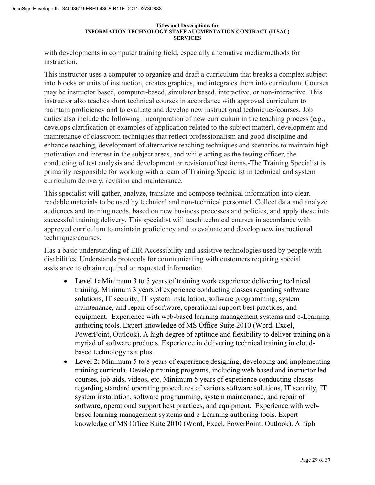with developments in computer training field, especially alternative media/methods for instruction.

This instructor uses a computer to organize and draft a curriculum that breaks a complex subject into blocks or units of instruction, creates graphics, and integrates them into curriculum. Courses may be instructor based, computer-based, simulator based, interactive, or non-interactive. This instructor also teaches short technical courses in accordance with approved curriculum to maintain proficiency and to evaluate and develop new instructional techniques/courses. Job duties also include the following: incorporation of new curriculum in the teaching process (e.g., develops clarification or examples of application related to the subject matter), development and maintenance of classroom techniques that reflect professionalism and good discipline and enhance teaching, development of alternative teaching techniques and scenarios to maintain high motivation and interest in the subject areas, and while acting as the testing officer, the conducting of test analysis and development or revision of test items.-The Training Specialist is primarily responsible for working with a team of Training Specialist in technical and system curriculum delivery, revision and maintenance.

This specialist will gather, analyze, translate and compose technical information into clear, readable materials to be used by technical and non-technical personnel. Collect data and analyze audiences and training needs, based on new business processes and policies, and apply these into successful training delivery. This specialist will teach technical courses in accordance with approved curriculum to maintain proficiency and to evaluate and develop new instructional techniques/courses.

Has a basic understanding of EIR Accessibility and assistive technologies used by people with disabilities. Understands protocols for communicating with customers requiring special assistance to obtain required or requested information.

- **Level 1:** Minimum 3 to 5 years of training work experience delivering technical training. Minimum 3 years of experience conducting classes regarding software solutions, IT security, IT system installation, software programming, system maintenance, and repair of software, operational support best practices, and equipment. Experience with web-based learning management systems and e-Learning authoring tools. Expert knowledge of MS Office Suite 2010 (Word, Excel, PowerPoint, Outlook). A high degree of aptitude and flexibility to deliver training on a myriad of software products. Experience in delivering technical training in cloudbased technology is a plus.
- **Level 2:** Minimum 5 to 8 years of experience designing, developing and implementing training curricula. Develop training programs, including web-based and instructor led courses, job-aids, videos, etc. Minimum 5 years of experience conducting classes regarding standard operating procedures of various software solutions, IT security, IT system installation, software programming, system maintenance, and repair of software, operational support best practices, and equipment. Experience with webbased learning management systems and e-Learning authoring tools. Expert knowledge of MS Office Suite 2010 (Word, Excel, PowerPoint, Outlook). A high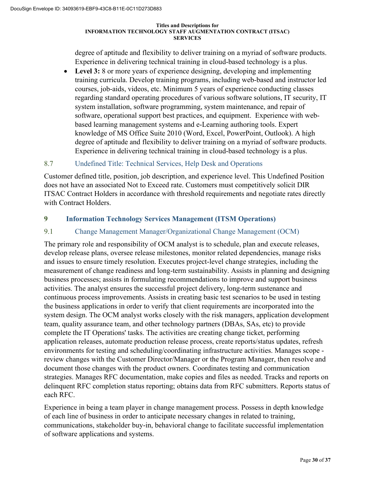degree of aptitude and flexibility to deliver training on a myriad of software products. Experience in delivering technical training in cloud-based technology is a plus.

Level 3: 8 or more years of experience designing, developing and implementing training curricula. Develop training programs, including web-based and instructor led courses, job-aids, videos, etc. Minimum 5 years of experience conducting classes regarding standard operating procedures of various software solutions, IT security, IT system installation, software programming, system maintenance, and repair of software, operational support best practices, and equipment. Experience with webbased learning management systems and e-Learning authoring tools. Expert knowledge of MS Office Suite 2010 (Word, Excel, PowerPoint, Outlook). A high degree of aptitude and flexibility to deliver training on a myriad of software products. Experience in delivering technical training in cloud-based technology is a plus.

### 8.7 Undefined Title: Technical Services, Help Desk and Operations

Customer defined title, position, job description, and experience level. This Undefined Position does not have an associated Not to Exceed rate. Customers must competitively solicit DIR ITSAC Contract Holders in accordance with threshold requirements and negotiate rates directly with Contract Holders.

### **9 Information Technology Services Management (ITSM Operations)**

### 9.1 Change Management Manager/Organizational Change Management (OCM)

The primary role and responsibility of OCM analyst is to schedule, plan and execute releases, develop release plans, oversee release milestones, monitor related dependencies, manage risks and issues to ensure timely resolution. Executes project-level change strategies, including the measurement of change readiness and long-term sustainability. Assists in planning and designing business processes; assists in formulating recommendations to improve and support business activities. The analyst ensures the successful project delivery, long-term sustenance and continuous process improvements. Assists in creating basic test scenarios to be used in testing the business applications in order to verify that client requirements are incorporated into the system design. The OCM analyst works closely with the risk managers, application development team, quality assurance team, and other technology partners (DBAs, SAs, etc) to provide complete the IT Operations' tasks. The activities are creating change ticket, performing application releases, automate production release process, create reports/status updates, refresh environments for testing and scheduling/coordinating infrastructure activities. Manages scope review changes with the Customer Director/Manager or the Program Manager, then resolve and document those changes with the product owners. Coordinates testing and communication strategies. Manages RFC documentation, make copies and files as needed. Tracks and reports on delinquent RFC completion status reporting; obtains data from RFC submitters. Reports status of each RFC.

Experience in being a team player in change management process. Possess in depth knowledge of each line of business in order to anticipate necessary changes in related to training, communications, stakeholder buy-in, behavioral change to facilitate successful implementation of software applications and systems.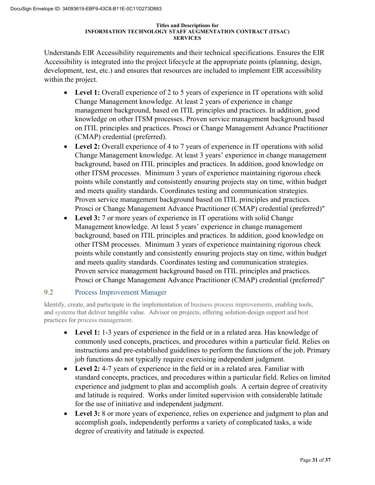Understands EIR Accessibility requirements and their technical specifications. Ensures the EIR Accessibility is integrated into the project lifecycle at the appropriate points (planning, design, development, test, etc.) and ensures that resources are included to implement EIR accessibility within the project.

- Level 1: Overall experience of 2 to 5 years of experience in IT operations with solid Change Management knowledge. At least 2 years of experience in change management background, based on ITIL principles and practices. In addition, good knowledge on other ITSM processes. Proven service management background based on ITIL principles and practices. Prosci or Change Management Advance Practitioner (CMAP) credential (preferred).
- **Level 2:** Overall experience of 4 to 7 years of experience in IT operations with solid Change Management knowledge. At least 3 years' experience in change management background, based on ITIL principles and practices. In addition, good knowledge on other ITSM processes. Minimum 3 years of experience maintaining rigorous check points while constantly and consistently ensuring projects stay on time, within budget and meets quality standards. Coordinates testing and communication strategies. Proven service management background based on ITIL principles and practices. Prosci or Change Management Advance Practitioner (CMAP) credential (preferred)"
- Level 3: 7 or more years of experience in IT operations with solid Change Management knowledge. At least 5 years' experience in change management background, based on ITIL principles and practices. In addition, good knowledge on other ITSM processes. Minimum 3 years of experience maintaining rigorous check points while constantly and consistently ensuring projects stay on time, within budget and meets quality standards. Coordinates testing and communication strategies. Proven service management background based on ITIL principles and practices. Prosci or Change Management Advance Practitioner (CMAP) credential (preferred)"

### 9.2 Process Improvement Manager

Identify, create, and participate in the implementation of business process improvements, enabling tools, and systems that deliver tangible value. Advisor on projects, offering solution-design support and best practices for process management.

- Level 1: 1-3 years of experience in the field or in a related area. Has knowledge of commonly used concepts, practices, and procedures within a particular field. Relies on instructions and pre-established guidelines to perform the functions of the job. Primary job functions do not typically require exercising independent judgment.
- **Level 2:** 4-7 years of experience in the field or in a related area. Familiar with standard concepts, practices, and procedures within a particular field. Relies on limited experience and judgment to plan and accomplish goals. A certain degree of creativity and latitude is required. Works under limited supervision with considerable latitude for the use of initiative and independent judgment.
- **Level 3:** 8 or more years of experience, relies on experience and judgment to plan and accomplish goals, independently performs a variety of complicated tasks, a wide degree of creativity and latitude is expected.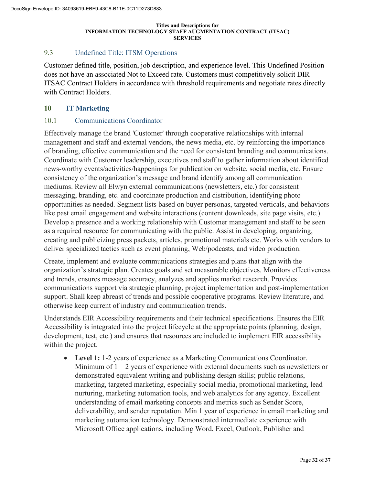# 9.3 Undefined Title: ITSM Operations

Customer defined title, position, job description, and experience level. This Undefined Position does not have an associated Not to Exceed rate. Customers must competitively solicit DIR ITSAC Contract Holders in accordance with threshold requirements and negotiate rates directly with Contract Holders.

### **10 IT Marketing**

### 10.1 Communications Coordinator

Effectively manage the brand 'Customer' through cooperative relationships with internal management and staff and external vendors, the news media, etc. by reinforcing the importance of branding, effective communication and the need for consistent branding and communications. Coordinate with Customer leadership, executives and staff to gather information about identified news-worthy events/activities/happenings for publication on website, social media, etc. Ensure consistency of the organization's message and brand identify among all communication mediums. Review all Elwyn external communications (newsletters, etc.) for consistent messaging, branding, etc. and coordinate production and distribution, identifying photo opportunities as needed. Segment lists based on buyer personas, targeted verticals, and behaviors like past email engagement and website interactions (content downloads, site page visits, etc.). Develop a presence and a working relationship with Customer management and staff to be seen as a required resource for communicating with the public. Assist in developing, organizing, creating and publicizing press packets, articles, promotional materials etc. Works with vendors to deliver specialized tactics such as event planning, Web/podcasts, and video production.

Create, implement and evaluate communications strategies and plans that align with the organization's strategic plan. Creates goals and set measurable objectives. Monitors effectiveness and trends, ensures message accuracy, analyzes and applies market research. Provides communications support via strategic planning, project implementation and post-implementation support. Shall keep abreast of trends and possible cooperative programs. Review literature, and otherwise keep current of industry and communication trends.

Understands EIR Accessibility requirements and their technical specifications. Ensures the EIR Accessibility is integrated into the project lifecycle at the appropriate points (planning, design, development, test, etc.) and ensures that resources are included to implement EIR accessibility within the project.

• **Level 1:** 1-2 years of experience as a Marketing Communications Coordinator. Minimum of  $1 - 2$  years of experience with external documents such as newsletters or demonstrated equivalent writing and publishing design skills; public relations, marketing, targeted marketing, especially social media, promotional marketing, lead nurturing, marketing automation tools, and web analytics for any agency. Excellent understanding of email marketing concepts and metrics such as Sender Score, deliverability, and sender reputation. Min 1 year of experience in email marketing and marketing automation technology. Demonstrated intermediate experience with Microsoft Office applications, including Word, Excel, Outlook, Publisher and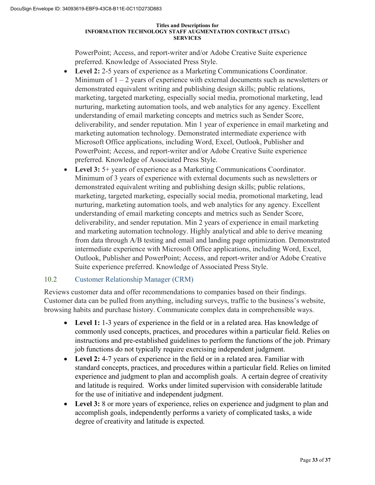PowerPoint; Access, and report-writer and/or Adobe Creative Suite experience preferred. Knowledge of Associated Press Style.

- **Level 2:** 2-5 years of experience as a Marketing Communications Coordinator. Minimum of  $1 - 2$  years of experience with external documents such as newsletters or demonstrated equivalent writing and publishing design skills; public relations, marketing, targeted marketing, especially social media, promotional marketing, lead nurturing, marketing automation tools, and web analytics for any agency. Excellent understanding of email marketing concepts and metrics such as Sender Score, deliverability, and sender reputation. Min 1 year of experience in email marketing and marketing automation technology. Demonstrated intermediate experience with Microsoft Office applications, including Word, Excel, Outlook, Publisher and PowerPoint; Access, and report-writer and/or Adobe Creative Suite experience preferred. Knowledge of Associated Press Style.
- **Level 3:** 5+ years of experience as a Marketing Communications Coordinator. Minimum of 3 years of experience with external documents such as newsletters or demonstrated equivalent writing and publishing design skills; public relations, marketing, targeted marketing, especially social media, promotional marketing, lead nurturing, marketing automation tools, and web analytics for any agency. Excellent understanding of email marketing concepts and metrics such as Sender Score, deliverability, and sender reputation. Min 2 years of experience in email marketing and marketing automation technology. Highly analytical and able to derive meaning from data through A/B testing and email and landing page optimization. Demonstrated intermediate experience with Microsoft Office applications, including Word, Excel, Outlook, Publisher and PowerPoint; Access, and report-writer and/or Adobe Creative Suite experience preferred. Knowledge of Associated Press Style.

### 10.2 Customer Relationship Manager (CRM)

Reviews customer data and offer recommendations to companies based on their findings. Customer data can be pulled from anything, including surveys, traffic to the business's website, browsing habits and purchase history. Communicate complex data in comprehensible ways.

- **Level 1:** 1-3 years of experience in the field or in a related area. Has knowledge of commonly used concepts, practices, and procedures within a particular field. Relies on instructions and pre-established guidelines to perform the functions of the job. Primary job functions do not typically require exercising independent judgment.
- **Level 2:** 4-7 years of experience in the field or in a related area. Familiar with standard concepts, practices, and procedures within a particular field. Relies on limited experience and judgment to plan and accomplish goals. A certain degree of creativity and latitude is required. Works under limited supervision with considerable latitude for the use of initiative and independent judgment.
- **Level 3:** 8 or more years of experience, relies on experience and judgment to plan and accomplish goals, independently performs a variety of complicated tasks, a wide degree of creativity and latitude is expected.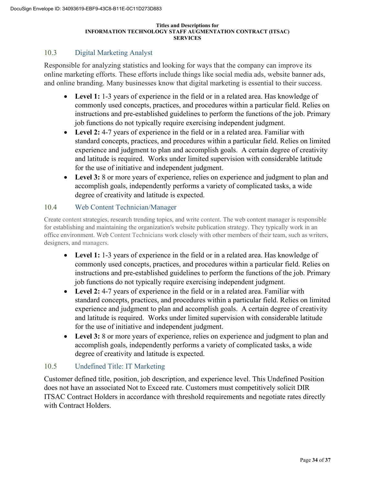## 10.3 Digital Marketing Analyst

Responsible for analyzing statistics and looking for ways that the company can improve its online marketing efforts. These efforts include things like social media ads, website banner ads, and online branding. Many businesses know that digital marketing is essential to their success.

- Level 1: 1-3 years of experience in the field or in a related area. Has knowledge of commonly used concepts, practices, and procedures within a particular field. Relies on instructions and pre-established guidelines to perform the functions of the job. Primary job functions do not typically require exercising independent judgment.
- **Level 2:** 4-7 years of experience in the field or in a related area. Familiar with standard concepts, practices, and procedures within a particular field. Relies on limited experience and judgment to plan and accomplish goals. A certain degree of creativity and latitude is required. Works under limited supervision with considerable latitude for the use of initiative and independent judgment.
- **Level 3:** 8 or more years of experience, relies on experience and judgment to plan and accomplish goals, independently performs a variety of complicated tasks, a wide degree of creativity and latitude is expected.

### 10.4 Web Content Technician/Manager

Create content strategies, research trending topics, and write content. The web content manager is responsible for establishing and maintaining the organization's website publication strategy. They typically work in an office environment. Web Content Technicians work closely with other members of their team, such as writers, designers, and managers.

- Level 1: 1-3 years of experience in the field or in a related area. Has knowledge of commonly used concepts, practices, and procedures within a particular field. Relies on instructions and pre-established guidelines to perform the functions of the job. Primary job functions do not typically require exercising independent judgment.
- **Level 2:** 4-7 years of experience in the field or in a related area. Familiar with standard concepts, practices, and procedures within a particular field. Relies on limited experience and judgment to plan and accomplish goals. A certain degree of creativity and latitude is required. Works under limited supervision with considerable latitude for the use of initiative and independent judgment.
- **Level 3:** 8 or more years of experience, relies on experience and judgment to plan and accomplish goals, independently performs a variety of complicated tasks, a wide degree of creativity and latitude is expected.

### 10.5 Undefined Title: IT Marketing

Customer defined title, position, job description, and experience level. This Undefined Position does not have an associated Not to Exceed rate. Customers must competitively solicit DIR ITSAC Contract Holders in accordance with threshold requirements and negotiate rates directly with Contract Holders.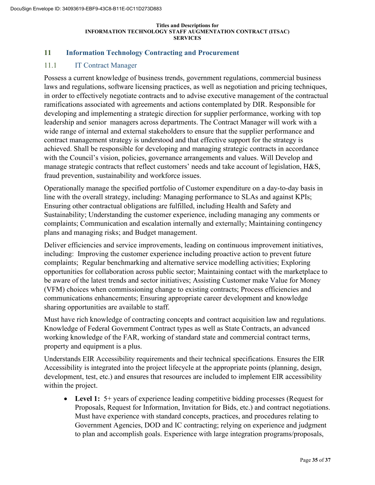### **11 Information Technology Contracting and Procurement**

### 11.1 IT Contract Manager

Possess a current knowledge of business trends, government regulations, commercial business laws and regulations, software licensing practices, as well as negotiation and pricing techniques, in order to effectively negotiate contracts and to advise executive management of the contractual ramifications associated with agreements and actions contemplated by DIR. Responsible for developing and implementing a strategic direction for supplier performance, working with top leadership and senior managers across departments. The Contract Manager will work with a wide range of internal and external stakeholders to ensure that the supplier performance and contract management strategy is understood and that effective support for the strategy is achieved. Shall be responsible for developing and managing strategic contracts in accordance with the Council's vision, policies, governance arrangements and values. Will Develop and manage strategic contracts that reflect customers' needs and take account of legislation, H&S, fraud prevention, sustainability and workforce issues.

Operationally manage the specified portfolio of Customer expenditure on a day-to-day basis in line with the overall strategy, including: Managing performance to SLAs and against KPIs; Ensuring other contractual obligations are fulfilled, including Health and Safety and Sustainability; Understanding the customer experience, including managing any comments or complaints; Communication and escalation internally and externally; Maintaining contingency plans and managing risks; and Budget management.

Deliver efficiencies and service improvements, leading on continuous improvement initiatives, including: Improving the customer experience including proactive action to prevent future complaints; Regular benchmarking and alternative service modelling activities; Exploring opportunities for collaboration across public sector; Maintaining contact with the marketplace to be aware of the latest trends and sector initiatives; Assisting Customer make Value for Money (VFM) choices when commissioning change to existing contracts; Process efficiencies and communications enhancements; Ensuring appropriate career development and knowledge sharing opportunities are available to staff.

Must have rich knowledge of contracting concepts and contract acquisition law and regulations. Knowledge of Federal Government Contract types as well as State Contracts, an advanced working knowledge of the FAR, working of standard state and commercial contract terms, property and equipment is a plus.

Understands EIR Accessibility requirements and their technical specifications. Ensures the EIR Accessibility is integrated into the project lifecycle at the appropriate points (planning, design, development, test, etc.) and ensures that resources are included to implement EIR accessibility within the project.

• Level 1: 5+ years of experience leading competitive bidding processes (Request for Proposals, Request for Information, Invitation for Bids, etc.) and contract negotiations. Must have experience with standard concepts, practices, and procedures relating to Government Agencies, DOD and IC contracting; relying on experience and judgment to plan and accomplish goals. Experience with large integration programs/proposals,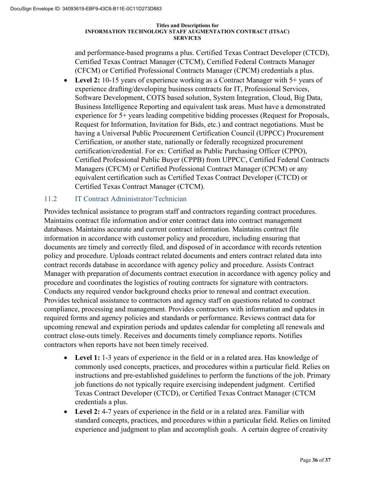and performance-based programs a plus. Certified Texas Contract Developer (CTCD), Certified Texas Contract Manager (CTCM), Certified Federal Contracts Manager (CFCM) or Certified Professional Contracts Manager (CPCM) credentials a plus.

• Level 2: 10-15 years of experience working as a Contract Manager with 5+ years of experience drafting/developing business contracts for IT, Professional Services, Software Development, COTS based solution, System Integration, Cloud, Big Data, Business Intelligence Reporting and equivalent task areas. Must have a demonstrated experience for 5+ years leading competitive bidding processes (Request for Proposals, Request for Information, Invitation for Bids, etc.) and contract negotiations. Must be having a Universal Public Procurement Certification Council (UPPCC) Procurement Certification, or another state, nationally or federally recognized procurement certification/credential. For ex: Certified as Public Purchasing Officer (CPPO), Certified Professional Public Buyer (CPPB) from UPPCC, Certified Federal Contracts Managers (CFCM) or Certified Professional Contract Manager (CPCM) or any equivalent certification such as Certified Texas Contract Developer (CTCD) or Certified Texas Contract Manager (CTCM).

### 11.2 IT Contract Administrator/Technician

Provides technical assistance to program staff and contractors regarding contract procedures. Maintains contract file information and/or enter contract data into contract management databases. Maintains accurate and current contract information. Maintains contract file information in accordance with customer policy and procedure, including ensuring that documents are timely and correctly filed, and disposed of in accordance with records retention policy and procedure. Uploads contract related documents and enters contract related data into contract records database in accordance with agency policy and procedure. Assists Contract Manager with preparation of documents contract execution in accordance with agency policy and procedure and coordinates the logistics of routing contracts for signature with contractors. Conducts any required vendor background checks prior to renewal and contract execution. Provides technical assistance to contractors and agency staff on questions related to contract compliance, processing and management. Provides contractors with information and updates in required forms and agency policies and standards or performance. Reviews contract data for upcoming renewal and expiration periods and updates calendar for completing all renewals and contract close-outs timely. Receives and documents timely compliance reports. Notifies contractors when reports have not been timely received.

- **Level 1:** 1-3 years of experience in the field or in a related area. Has knowledge of commonly used concepts, practices, and procedures within a particular field. Relies on instructions and pre-established guidelines to perform the functions of the job. Primary job functions do not typically require exercising independent judgment. Certified Texas Contract Developer (CTCD), or Certified Texas Contract Manager (CTCM credentials a plus.
- **Level 2:** 4-7 years of experience in the field or in a related area. Familiar with standard concepts, practices, and procedures within a particular field. Relies on limited experience and judgment to plan and accomplish goals. A certain degree of creativity